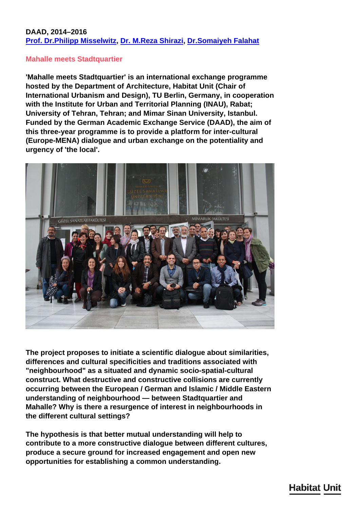## **DAAD, 2014–2016 [Prof. Dr.Philipp Misselwitz,](../en/team/philipp-misselwitz/) [Dr. M.Reza Shirazi](../en/team/reza-shirazi/), [Dr.Somaiyeh Falahat](../en/team/somaiyeh-falahat/)**

## **Mahalle meets Stadtquartier**

**'Mahalle meets Stadtquartier' is an international exchange programme hosted by the Department of Architecture, Habitat Unit (Chair of International Urbanism and Design), TU Berlin, Germany, in cooperation with the Institute for Urban and Territorial Planning (INAU), Rabat; University of Tehran, Tehran; and Mimar Sinan University, Istanbul. Funded by the German Academic Exchange Service (DAAD), the aim of this three-year programme is to provide a platform for inter-cultural (Europe-MENA) dialogue and urban exchange on the potentiality and urgency of 'the local'.**



**The project proposes to initiate a scientific dialogue about similarities, differences and cultural specificities and traditions associated with "neighbourhood" as a situated and dynamic socio-spatial-cultural construct. What destructive and constructive collisions are currently occurring between the European / German and Islamic / Middle Eastern understanding of neighbourhood — between Stadtquartier and Mahalle? Why is there a resurgence of interest in neighbourhoods in the different cultural settings?**

**The hypothesis is that better mutual understanding will help to contribute to a more constructive dialogue between different cultures, produce a secure ground for increased engagement and open new opportunities for establishing a common understanding.**